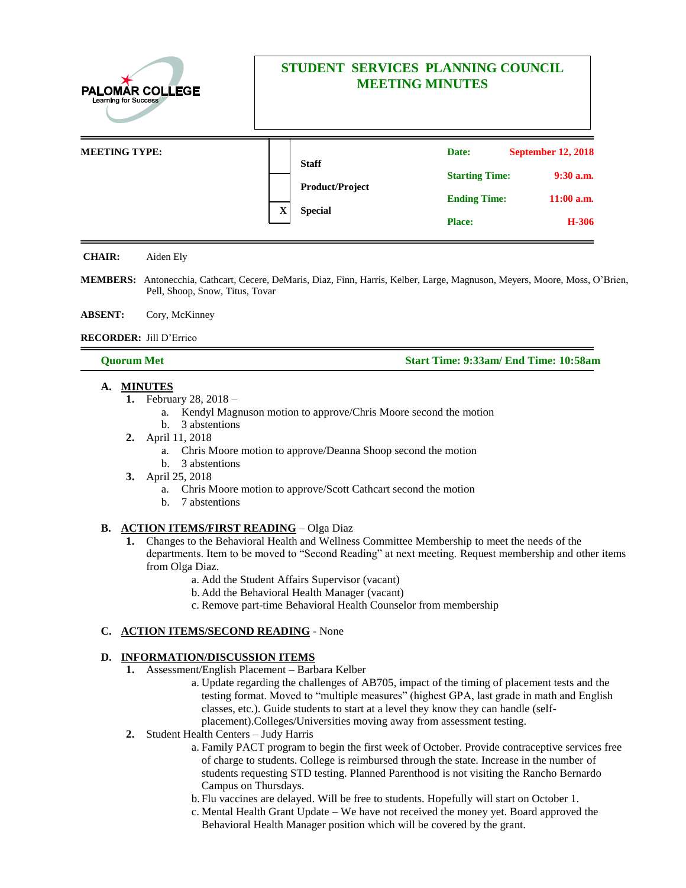| <b>PALOMAR COLLEGE</b><br><b>Learning for Success</b> | STUDENT SERVICES PLANNING COUNCIL<br><b>MEETING MINUTES</b> |                                                          |                       |                           |
|-------------------------------------------------------|-------------------------------------------------------------|----------------------------------------------------------|-----------------------|---------------------------|
| <b>MEETING TYPE:</b>                                  |                                                             | <b>Staff</b><br><b>Product/Project</b><br><b>Special</b> | Date:                 | <b>September 12, 2018</b> |
|                                                       | $\mathbf X$                                                 |                                                          | <b>Starting Time:</b> | $9:30$ a.m.               |
|                                                       |                                                             |                                                          | <b>Ending Time:</b>   | $11:00$ a.m.              |
|                                                       |                                                             |                                                          | <b>Place:</b>         | H-306                     |

**CHAIR:** Aiden Ely

**MEMBERS:** Antonecchia, Cathcart, Cecere, DeMaris, Diaz, Finn, Harris, Kelber, Large, Magnuson, Meyers, Moore, Moss, O'Brien, Pell, Shoop, Snow, Titus, Tovar

#### **ABSENT:** Cory, McKinney

#### **RECORDER:** Jill D'Errico

## **Quorum Met Start Time: 9:33am/ End Time: 10:58am**

## **A. MINUTES**

- **1.** February 28, 2018
	- a. Kendyl Magnuson motion to approve/Chris Moore second the motion
	- b. 3 abstentions
- **2.** April 11, 2018
	- a. Chris Moore motion to approve/Deanna Shoop second the motion

- b. 3 abstentions
- **3.** April 25, 2018
	- a. Chris Moore motion to approve/Scott Cathcart second the motion
	- b. 7 abstentions

## **B. ACTION ITEMS/FIRST READING** – Olga Diaz

- **1.** Changes to the Behavioral Health and Wellness Committee Membership to meet the needs of the departments. Item to be moved to "Second Reading" at next meeting. Request membership and other items from Olga Diaz.
	- a. Add the Student Affairs Supervisor (vacant)
	- b. Add the Behavioral Health Manager (vacant)
	- c. Remove part-time Behavioral Health Counselor from membership

## **C. ACTION ITEMS/SECOND READING** - None

# **D. INFORMATION/DISCUSSION ITEMS**

- **1.** Assessment/English Placement Barbara Kelber
	- a. Update regarding the challenges of AB705, impact of the timing of placement tests and the testing format. Moved to "multiple measures" (highest GPA, last grade in math and English classes, etc.). Guide students to start at a level they know they can handle (selfplacement).Colleges/Universities moving away from assessment testing.
- **2.** Student Health Centers Judy Harris
	- a. Family PACT program to begin the first week of October. Provide contraceptive services free of charge to students. College is reimbursed through the state. Increase in the number of students requesting STD testing. Planned Parenthood is not visiting the Rancho Bernardo Campus on Thursdays.
	- b. Flu vaccines are delayed. Will be free to students. Hopefully will start on October 1.
	- c. Mental Health Grant Update We have not received the money yet. Board approved the Behavioral Health Manager position which will be covered by the grant.